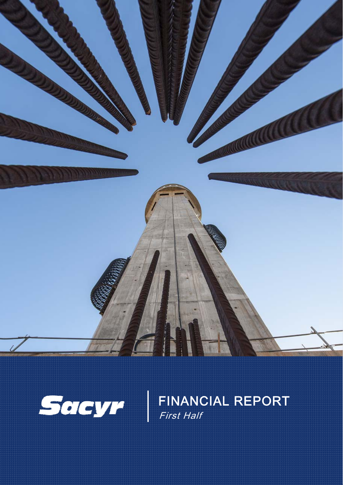



FINANCIAL REPORT First Half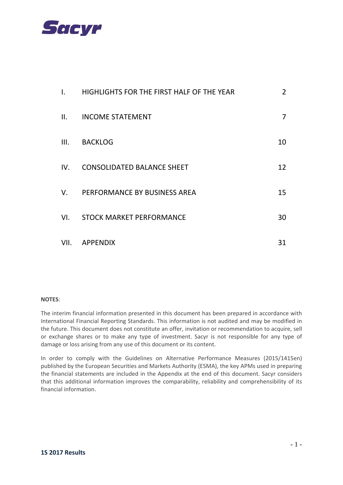

| $\mathsf{L}$ | HIGHLIGHTS FOR THE FIRST HALF OF THE YEAR | $\overline{2}$ |
|--------------|-------------------------------------------|----------------|
| II.          | <b>INCOME STATEMENT</b>                   | $\overline{7}$ |
| III.         | <b>BACKLOG</b>                            | 10             |
| IV.          | <b>CONSOLIDATED BALANCE SHEET</b>         | 12             |
| $V_{\cdot}$  | PERFORMANCE BY BUSINESS AREA              | 15             |
| VI.          | <b>STOCK MARKET PERFORMANCE</b>           | 30             |
| VII.         | <b>APPENDIX</b>                           | 31             |

#### **NOTES**:

The interim financial information presented in this document has been prepared in accordance with International Financial Reporting Standards. This information is not audited and may be modified in the future. This document does not constitute an offer, invitation or recommendation to acquire, sell or exchange shares or to make any type of investment. Sacyr is not responsible for any type of damage or loss arising from any use of this document or its content.

In order to comply with the Guidelines on Alternative Performance Measures (2015/1415en) published by the European Securities and Markets Authority (ESMA), the key APMs used in preparing the financial statements are included in the Appendix at the end of this document. Sacyr considers that this additional information improves the comparability, reliability and comprehensibility of its financial information.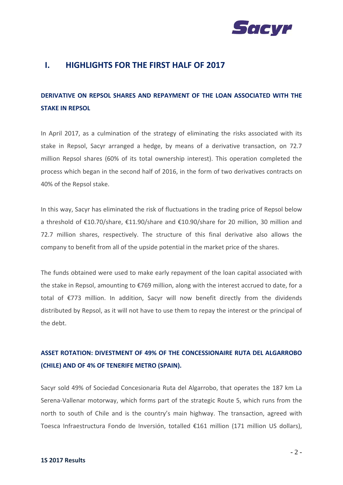

### **I. HIGHLIGHTS FOR THE FIRST HALF OF 2017**

# **DERIVATIVE ON REPSOL SHARES AND REPAYMENT OF THE LOAN ASSOCIATED WITH THE STAKE IN REPSOL**

In April 2017, as a culmination of the strategy of eliminating the risks associated with its stake in Repsol, Sacyr arranged a hedge, by means of a derivative transaction, on 72.7 million Repsol shares (60% of its total ownership interest). This operation completed the process which began in the second half of 2016, in the form of two derivatives contracts on 40% of the Repsol stake.

In this way, Sacyr has eliminated the risk of fluctuations in the trading price of Repsol below a threshold of €10.70/share, €11.90/share and €10.90/share for 20 million, 30 million and 72.7 million shares, respectively. The structure of this final derivative also allows the company to benefit from all of the upside potential in the market price of the shares.

The funds obtained were used to make early repayment of the loan capital associated with the stake in Repsol, amounting to €769 million, along with the interest accrued to date, for a total of €773 million. In addition, Sacyr will now benefit directly from the dividends distributed by Repsol, as it will not have to use them to repay the interest or the principal of the debt.

## **ASSET ROTATION: DIVESTMENT OF 49% OF THE CONCESSIONAIRE RUTA DEL ALGARROBO (CHILE) AND OF 4% OF TENERIFE METRO (SPAIN).**

Sacyr sold 49% of Sociedad Concesionaria Ruta del Algarrobo, that operates the 187 km La Serena‐Vallenar motorway, which forms part of the strategic Route 5, which runs from the north to south of Chile and is the country's main highway. The transaction, agreed with Toesca Infraestructura Fondo de Inversión, totalled €161 million (171 million US dollars),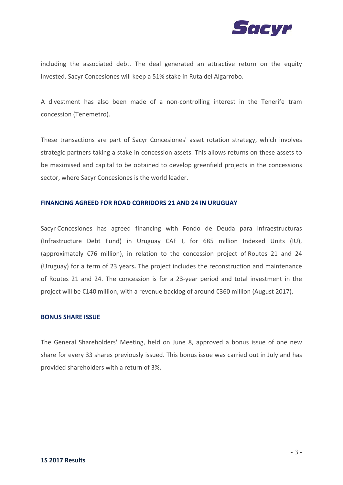

including the associated debt. The deal generated an attractive return on the equity invested. Sacyr Concesiones will keep a 51% stake in Ruta del Algarrobo.

A divestment has also been made of a non‐controlling interest in the Tenerife tram concession (Tenemetro).

These transactions are part of Sacyr Concesiones' asset rotation strategy, which involves strategic partners taking a stake in concession assets. This allows returns on these assets to be maximised and capital to be obtained to develop greenfield projects in the concessions sector, where Sacyr Concesiones is the world leader.

#### **FINANCING AGREED FOR ROAD CORRIDORS 21 AND 24 IN URUGUAY**

Sacyr Concesiones has agreed financing with Fondo de Deuda para Infraestructuras (Infrastructure Debt Fund) in Uruguay CAF I, for 685 million Indexed Units (IU), (approximately €76 million), in relation to the concession project of Routes 21 and 24 (Uruguay) for a term of 23 years**.** The project includes the reconstruction and maintenance of Routes 21 and 24. The concession is for a 23‐year period and total investment in the project will be €140 million, with a revenue backlog of around €360 million (August 2017).

#### **BONUS SHARE ISSUE**

The General Shareholders' Meeting, held on June 8, approved a bonus issue of one new share for every 33 shares previously issued. This bonus issue was carried out in July and has provided shareholders with a return of 3%.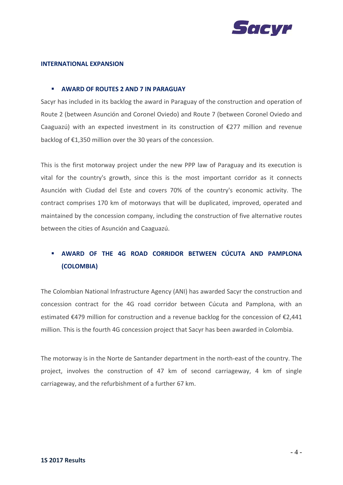

#### **INTERNATIONAL EXPANSION**

#### **AWARD OF ROUTES 2 AND 7 IN PARAGUAY**

Sacyr has included in its backlog the award in Paraguay of the construction and operation of Route 2 (between Asunción and Coronel Oviedo) and Route 7 (between Coronel Oviedo and Caaguazú) with an expected investment in its construction of €277 million and revenue backlog of €1,350 million over the 30 years of the concession.

This is the first motorway project under the new PPP law of Paraguay and its execution is vital for the country's growth, since this is the most important corridor as it connects Asunción with Ciudad del Este and covers 70% of the country's economic activity. The contract comprises 170 km of motorways that will be duplicated, improved, operated and maintained by the concession company, including the construction of five alternative routes between the cities of Asunción and Caaguazú.

## **AWARD OF THE 4G ROAD CORRIDOR BETWEEN CÚCUTA AND PAMPLONA (COLOMBIA)**

The Colombian National Infrastructure Agency (ANI) has awarded Sacyr the construction and concession contract for the 4G road corridor between Cúcuta and Pamplona, with an estimated €479 million for construction and a revenue backlog for the concession of €2,441 million. This is the fourth 4G concession project that Sacyr has been awarded in Colombia.

The motorway is in the Norte de Santander department in the north‐east of the country. The project, involves the construction of 47 km of second carriageway, 4 km of single carriageway, and the refurbishment of a further 67 km.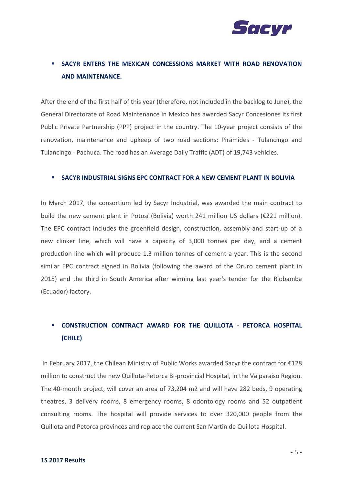

## **SACYR ENTERS THE MEXICAN CONCESSIONS MARKET WITH ROAD RENOVATION AND MAINTENANCE.**

After the end of the first half of this year (therefore, not included in the backlog to June), the General Directorate of Road Maintenance in Mexico has awarded Sacyr Concesiones its first Public Private Partnership (PPP) project in the country. The 10‐year project consists of the renovation, maintenance and upkeep of two road sections: Pirámides ‐ Tulancingo and Tulancingo ‐ Pachuca. The road has an Average Daily Traffic (ADT) of 19,743 vehicles.

#### **SACYR INDUSTRIAL SIGNS EPC CONTRACT FOR A NEW CEMENT PLANT IN BOLIVIA**

In March 2017, the consortium led by Sacyr Industrial, was awarded the main contract to build the new cement plant in Potosí (Bolivia) worth 241 million US dollars (€221 million). The EPC contract includes the greenfield design, construction, assembly and start‐up of a new clinker line, which will have a capacity of 3,000 tonnes per day, and a cement production line which will produce 1.3 million tonnes of cement a year. This is the second similar EPC contract signed in Bolivia (following the award of the Oruro cement plant in 2015) and the third in South America after winning last year's tender for the Riobamba (Ecuador) factory.

# **CONSTRUCTION CONTRACT AWARD FOR THE QUILLOTA ‐ PETORCA HOSPITAL (CHILE)**

In February 2017, the Chilean Ministry of Public Works awarded Sacyr the contract for €128 million to construct the new Quillota‐Petorca Bi‐provincial Hospital, in the Valparaiso Region. The 40‐month project, will cover an area of 73,204 m2 and will have 282 beds, 9 operating theatres, 3 delivery rooms, 8 emergency rooms, 8 odontology rooms and 52 outpatient consulting rooms. The hospital will provide services to over 320,000 people from the Quillota and Petorca provinces and replace the current San Martin de Quillota Hospital.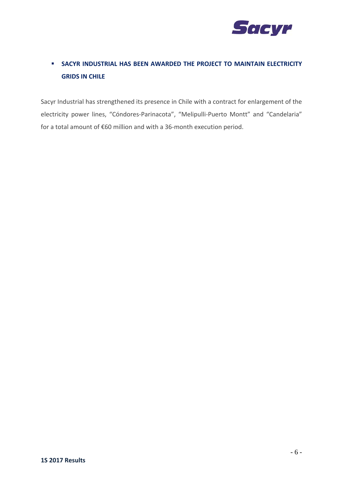

# **SACYR INDUSTRIAL HAS BEEN AWARDED THE PROJECT TO MAINTAIN ELECTRICITY GRIDS IN CHILE**

Sacyr Industrial has strengthened its presence in Chile with a contract for enlargement of the electricity power lines, "Cóndores-Parinacota", "Melipulli-Puerto Montt" and "Candelaria" for a total amount of €60 million and with a 36‐month execution period.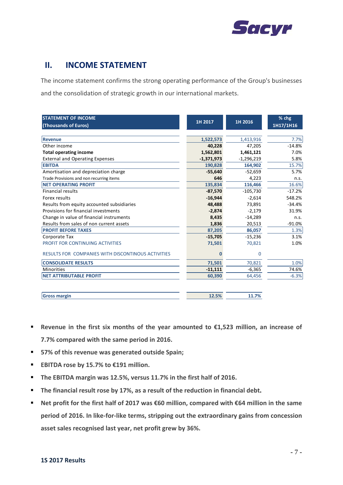

### **II. INCOME STATEMENT**

The income statement confirms the strong operating performance of the Group's businesses and the consolidation of strategic growth in our international markets.

| <b>STATEMENT OF INCOME</b><br>(Thousands of Euros) | 1H 2017      | 1H 2016      | % chg<br>1H17/1H16 |
|----------------------------------------------------|--------------|--------------|--------------------|
|                                                    |              |              |                    |
| <b>Revenue</b>                                     | 1,522,573    | 1,413,916    | 7.7%               |
| Other income                                       | 40,228       | 47,205       | $-14.8%$           |
| <b>Total operating income</b>                      | 1,562,801    | 1,461,121    | 7.0%               |
| <b>External and Operating Expenses</b>             | $-1,371,973$ | $-1,296,219$ | 5.8%               |
| <b>EBITDA</b>                                      | 190,828      | 164,902      | 15.7%              |
| Amortisation and depreciation charge               | $-55,640$    | $-52,659$    | 5.7%               |
| Trade Provisions and non recurring items           | 646          | 4,223        | n.s.               |
| <b>NET OPERATING PROFIT</b>                        | 135,834      | 116,466      | 16.6%              |
| <b>Financial results</b>                           | $-87,570$    | $-105,730$   | $-17.2%$           |
| Forex results                                      | $-16,944$    | $-2,614$     | 548.2%             |
| Results from equity accounted subsidiaries         | 48,488       | 73,891       | $-34.4%$           |
| Provisions for financial investments               | $-2,874$     | $-2,179$     | 31.9%              |
| Change in value of financial instruments           | 8,435        | $-14,289$    | n.s.               |
| Results from sales of non current assets           | 1,836        | 20,513       | $-91.0%$           |
| <b>PROFIT BEFORE TAXES</b>                         | 87,205       | 86,057       | 1.3%               |
| Corporate Tax                                      | $-15,705$    | $-15,236$    | 3.1%               |
| PROFIT FOR CONTINUING ACTIVITIES                   | 71,501       | 70,821       | 1.0%               |
| RESULTS FOR COMPANIES WITH DISCONTINOUS ACTIVITIES | Ω            | $\mathbf 0$  |                    |
| <b>CONSOLIDATE RESULTS</b>                         | 71,501       | 70,821       | 1.0%               |
| <b>Minorities</b>                                  | $-11,111$    | $-6,365$     | 74.6%              |
| <b>NET ATTRIBUTABLE PROFIT</b>                     | 60,390       | 64,456       | $-6.3%$            |
|                                                    |              |              |                    |
| <b>Gross margin</b>                                | 12.5%        | 11.7%        |                    |

- **Revenue in the first six months of the year amounted to €1,523 million, an increase of 7.7% compared with the same period in 2016.**
- **57% of this revenue was generated outside Spain;**
- **EBITDA rose by 15.7% to €191 million.**
- **The EBITDA margin was 12.5%, versus 11.7% in the first half of 2016.**
- **The financial result rose by 17%, as a result of the reduction in financial debt.**
- **Net profit for the first half of 2017 was €60 million, compared with €64 million in the same period of 2016. In like‐for‐like terms, stripping out the extraordinary gains from concession asset sales recognised last year, net profit grew by 36%.**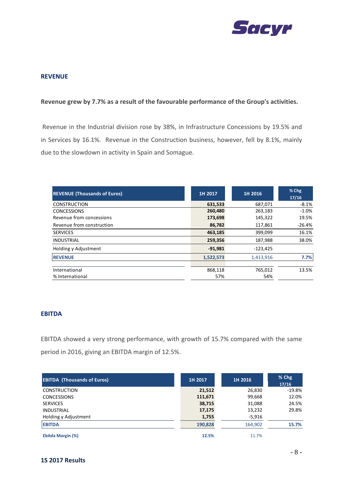

#### **REVENUE**

#### **Revenue grew by 7.7% as a result of the favourable performance of the Group's activities.**

Revenue in the Industrial division rose by 38%, in Infrastructure Concessions by 19.5% and in Services by 16.1%. Revenue in the Construction business, however, fell by 8.1%, mainly due to the slowdown in activity in Spain and Somague.

| <b>REVENUE (Thousands of Euros)</b> | 1H 2017   | 1H 2016            | % Chg<br>17/16 |  |
|-------------------------------------|-----------|--------------------|----------------|--|
| <b>CONSTRUCTION</b>                 | 631,533   | 687,071            | $-8.1%$        |  |
| <b>CONCESSIONS</b>                  | 260,480   | 263,183            | $-1.0%$        |  |
| Revenue from concessions            |           | 173,698<br>145,322 |                |  |
| Revenue from construction           | 86,782    | 117,861            | $-26.4%$       |  |
| <b>SERVICES</b>                     | 463,185   | 399,099            | 16.1%          |  |
| <b>INDUSTRIAL</b>                   | 259,356   | 187,988            | 38.0%          |  |
| Holding y Adjustment                | $-91,981$ | $-123,425$         |                |  |
| <b>REVENUE</b>                      | 1,522,573 | 1,413,916          | 7.7%           |  |
|                                     |           |                    |                |  |
| International                       | 868,118   | 765,012            | 13.5%          |  |
| % International                     | 57%       | 54%                |                |  |

#### **EBITDA**

EBITDA showed a very strong performance, with growth of 15.7% compared with the same period in 2016, giving an EBITDA margin of 12.5%.

| <b>EBITDA (Thousands of Euros)</b> | 1H 2017 | 1H 2016  | % Chg<br>17/16 |
|------------------------------------|---------|----------|----------------|
| <b>CONSTRUCTION</b>                | 21,512  | 26,830   | $-19.8\%$      |
| <b>CONCESSIONS</b>                 | 111,671 | 99,668   | 12.0%          |
| <b>SERVICES</b>                    | 38,715  | 31,088   | 24.5%          |
| <b>INDUSTRIAL</b>                  | 17,175  | 13,232   | 29.8%          |
| Holding y Adjustment               | 1,755   | $-5,916$ |                |
| <b>EBITDA</b>                      | 190,828 | 164,902  | 15.7%          |
| Ebitda Margin (%)                  | 12.5%   | 11.7%    |                |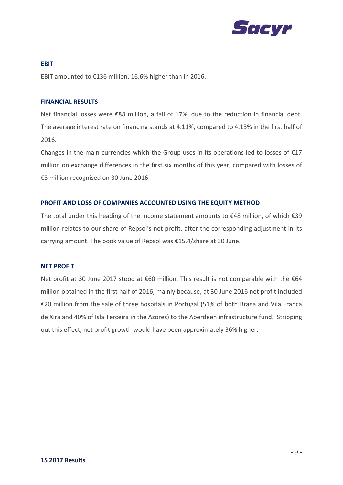

**EBIT** EBIT amounted to €136 million, 16.6% higher than in 2016.

#### **FINANCIAL RESULTS**

Net financial losses were €88 million, a fall of 17%, due to the reduction in financial debt. The average interest rate on financing stands at 4.11%, compared to 4.13% in the first half of 2016.

Changes in the main currencies which the Group uses in its operations led to losses of €17 million on exchange differences in the first six months of this year, compared with losses of €3 million recognised on 30 June 2016.

#### **PROFIT AND LOSS OF COMPANIES ACCOUNTED USING THE EQUITY METHOD**

The total under this heading of the income statement amounts to €48 million, of which €39 million relates to our share of Repsol's net profit, after the corresponding adjustment in its carrying amount. The book value of Repsol was €15.4/share at 30 June.

#### **NET PROFIT**

Net profit at 30 June 2017 stood at €60 million. This result is not comparable with the €64 million obtained in the first half of 2016, mainly because, at 30 June 2016 net profit included €20 million from the sale of three hospitals in Portugal (51% of both Braga and Vila Franca de Xira and 40% of Isla Terceira in the Azores) to the Aberdeen infrastructure fund. Stripping out this effect, net profit growth would have been approximately 36% higher.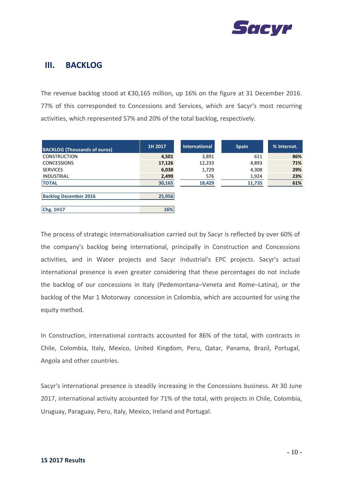

### **III. BACKLOG**

The revenue backlog stood at €30,165 million, up 16% on the figure at 31 December 2016. 77% of this corresponded to Concessions and Services, which are Sacyr's most recurring activities, which represented 57% and 20% of the total backlog, respectively.

| <b>BACKLOG (Thousands of euros)</b> | 1H 2017 | <b>International</b> | <b>Spain</b> | % Internat. |
|-------------------------------------|---------|----------------------|--------------|-------------|
| <b>CONSTRUCTION</b>                 | 4,501   | 3,891                | 611          | 86%         |
| <b>CONCESSIONS</b>                  | 17,126  | 12,233               | 4,893        | 71%         |
| <b>SERVICES</b>                     | 6,038   | 1,729                | 4,308        | 29%         |
| <b>INDUSTRIAL</b>                   | 2,499   | 576                  | 1,924        | 23%         |
| <b>TOTAL</b>                        | 30,165  | 18,429               | 11,735       | 61%         |
|                                     |         |                      |              |             |
| <b>Backlog December 2016</b>        | 25,956  |                      |              |             |
|                                     |         |                      |              |             |
| Chg. 1H17                           | 16%     |                      |              |             |

The process of strategic internationalisation carried out by Sacyr is reflected by over 60% of the company's backlog being international, principally in Construction and Concessions activities, and in Water projects and Sacyr Industrial's EPC projects. Sacyr's actual international presence is even greater considering that these percentages do not include the backlog of our concessions in Italy (Pedemontana–Veneta and Rome–Latina), or the backlog of the Mar 1 Motorway concession in Colombia, which are accounted for using the equity method.

In Construction, international contracts accounted for 86% of the total, with contracts in Chile, Colombia, Italy, Mexico, United Kingdom, Peru, Qatar, Panama, Brazil, Portugal, Angola and other countries.

Sacyr's international presence is steadily increasing in the Concessions business. At 30 June 2017, international activity accounted for 71% of the total, with projects in Chile, Colombia, Uruguay, Paraguay, Peru, Italy, Mexico, Ireland and Portugal.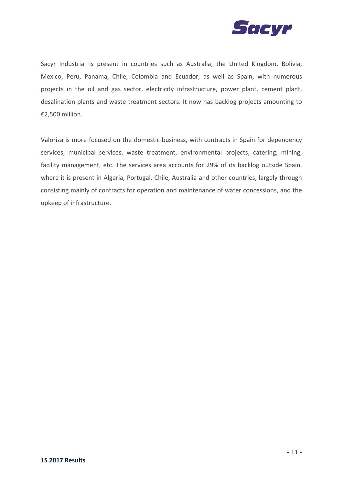

Sacyr Industrial is present in countries such as Australia, the United Kingdom, Bolivia, Mexico, Peru, Panama, Chile, Colombia and Ecuador, as well as Spain, with numerous projects in the oil and gas sector, electricity infrastructure, power plant, cement plant, desalination plants and waste treatment sectors. It now has backlog projects amounting to €2,500 million.

Valoriza is more focused on the domestic business, with contracts in Spain for dependency services, municipal services, waste treatment, environmental projects, catering, mining, facility management, etc. The services area accounts for 29% of its backlog outside Spain, where it is present in Algeria, Portugal, Chile, Australia and other countries, largely through consisting mainly of contracts for operation and maintenance of water concessions, and the upkeep of infrastructure.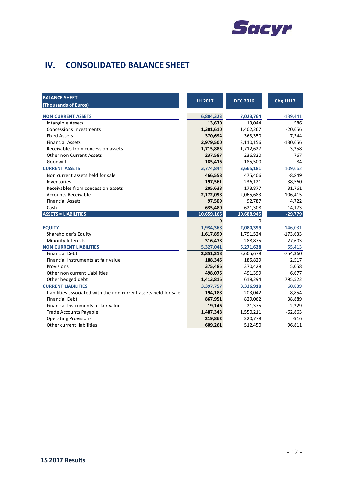

# **IV. CONSOLIDATED BALANCE SHEET**

| <b>BALANCE SHEET</b>                                             | 1H 2017      | <b>DEC 2016</b> | <b>Chg 1H17</b> |
|------------------------------------------------------------------|--------------|-----------------|-----------------|
| (Thousands of Euros)                                             |              |                 |                 |
| <b>NON CURRENT ASSETS</b>                                        | 6,884,323    | 7,023,764       | $-139,441$      |
| Intangible Assets                                                | 13,630       | 13,044          | 586             |
| <b>Concessions Investments</b>                                   | 1,381,610    | 1,402,267       | $-20,656$       |
| <b>Fixed Assets</b>                                              | 370,694      | 363,350         | 7,344           |
| <b>Financial Assets</b>                                          | 2,979,500    | 3,110,156       | $-130,656$      |
| Receivables from concession assets                               | 1,715,885    | 1,712,627       | 3,258           |
| <b>Other non Current Assets</b>                                  | 237,587      | 236,820         | 767             |
| Goodwill                                                         | 185,416      | 185,500         | $-84$           |
| <b>CURRENT ASSETS</b>                                            | 3,774,844    | 3,665,181       | 109,662         |
| Non current assets held for sale                                 | 466,558      | 475,406         | $-8,849$        |
| Inventories                                                      | 197,561      | 236,121         | $-38,560$       |
| Receivables from concession assets                               | 205,638      | 173,877         | 31,761          |
| <b>Accounts Receivable</b>                                       | 2,172,098    | 2,065,683       | 106,415         |
| <b>Financial Assets</b>                                          | 97,509       | 92,787          | 4,722           |
| Cash                                                             | 635,480      | 621,308         | 14,173          |
| <b>ASSETS = LIABILITIES</b>                                      | 10,659,166   | 10,688,945      | $-29,779$       |
|                                                                  | $\mathbf{0}$ | $\Omega$        |                 |
| <b>EQUITY</b>                                                    | 1,934,368    | 2,080,399       | $-146,031$      |
| Shareholder's Equity                                             | 1,617,890    | 1,791,524       | $-173,633$      |
| <b>Minority Interests</b>                                        | 316,478      | 288,875         | 27,603          |
| <b>NON CURRENT LIABILITIES</b>                                   | 5,327,041    | 5,271,628       | 55,413          |
| <b>Financial Debt</b>                                            | 2,851,318    | 3,605,678       | $-754,360$      |
| Financial Instruments at fair value                              | 188,346      | 185,829         | 2,517           |
| Provisions                                                       | 375,486      | 370,428         | 5,058           |
| Other non current Liabilities                                    | 498,076      | 491,399         | 6,677           |
| Other hedged debt                                                | 1,413,816    | 618,294         | 795,522         |
| <b>CURRENT LIABILITIES</b>                                       | 3,397,757    | 3,336,918       | 60,839          |
| Liabilities associated with the non current assets held for sale | 194,188      | 203,042         | $-8,854$        |
| <b>Financial Debt</b>                                            | 867,951      | 829,062         | 38,889          |
| Financial Instruments at fair value                              | 19,146       | 21,375          | $-2,229$        |
| <b>Trade Accounts Payable</b>                                    | 1,487,348    | 1,550,211       | $-62,863$       |
| <b>Operating Provisions</b>                                      | 219,862      | 220,778         | $-916$          |
| Other current liabilities                                        | 609,261      | 512,450         | 96,811          |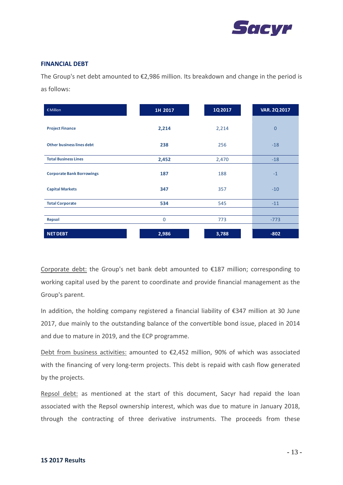

#### **FINANCIAL DEBT**

The Group's net debt amounted to €2,986 million. Its breakdown and change in the period is as follows:

| € Million                        | 1H 2017     | 1Q 2017 | <b>VAR. 2Q 2017</b> |
|----------------------------------|-------------|---------|---------------------|
| <b>Project Finance</b>           | 2,214       | 2,214   | $\overline{0}$      |
| <b>Other business lines debt</b> | 238         | 256     | $-18$               |
| <b>Total Business Lines</b>      | 2,452       | 2,470   | $-18$               |
| <b>Corporate Bank Borrowings</b> | 187         | 188     | $-1$                |
| <b>Capital Markets</b>           | 347         | 357     | $-10$               |
| <b>Total Corporate</b>           | 534         | 545     | $-11$               |
|                                  |             |         |                     |
| <b>Repsol</b>                    | $\mathbf 0$ | 773     | $-773$              |
| <b>NET DEBT</b>                  | 2,986       | 3,788   | $-802$              |

Corporate debt: the Group's net bank debt amounted to €187 million; corresponding to working capital used by the parent to coordinate and provide financial management as the Group's parent.

In addition, the holding company registered a financial liability of €347 million at 30 June 2017, due mainly to the outstanding balance of the convertible bond issue, placed in 2014 and due to mature in 2019, and the ECP programme.

Debt from business activities: amounted to €2,452 million, 90% of which was associated with the financing of very long-term projects. This debt is repaid with cash flow generated by the projects.

Repsol debt: as mentioned at the start of this document, Sacyr had repaid the loan associated with the Repsol ownership interest, which was due to mature in January 2018, through the contracting of three derivative instruments. The proceeds from these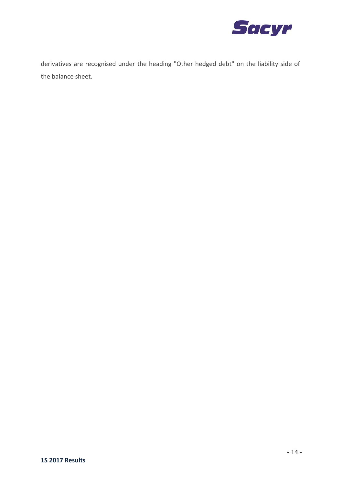

derivatives are recognised under the heading "Other hedged debt" on the liability side of the balance sheet.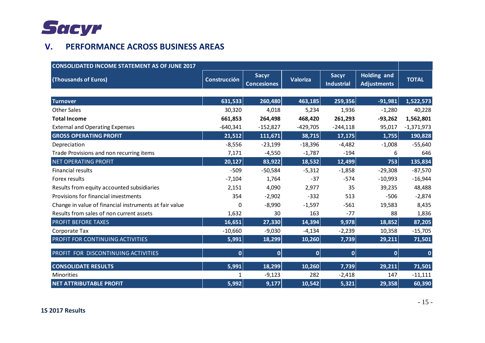

# **V. PERFORMANCE ACROSS BUSINESS AREAS**

| <b>CONSOLIDATED INCOME STATEMENT AS OF JUNE 2017</b>   |                     |                                    |                 |                                   |                                          |              |
|--------------------------------------------------------|---------------------|------------------------------------|-----------------|-----------------------------------|------------------------------------------|--------------|
| (Thousands of Euros)                                   | <b>Construcción</b> | <b>Sacyr</b><br><b>Concesiones</b> | <b>Valoriza</b> | <b>Sacyr</b><br><b>Industrial</b> | <b>Holding and</b><br><b>Adjustments</b> | <b>TOTAL</b> |
|                                                        |                     |                                    |                 |                                   |                                          |              |
| <b>Turnover</b>                                        | 631,533             | 260,480                            | 463,185         | 259,356                           | $-91,981$                                | 1,522,573    |
| <b>Other Sales</b>                                     | 30,320              | 4,018                              | 5,234           | 1,936                             | $-1,280$                                 | 40,228       |
| <b>Total Income</b>                                    | 661,853             | 264,498                            | 468,420         | 261,293                           | $-93,262$                                | 1,562,801    |
| <b>External and Operating Expenses</b>                 | $-640,341$          | $-152,827$                         | $-429,705$      | $-244,118$                        | 95,017                                   | $-1,371,973$ |
| <b>GROSS OPERATING PROFIT</b>                          | 21,512              | 111,671                            | 38,715          | 17,175                            | 1,755                                    | 190,828      |
| Depreciation                                           | $-8,556$            | $-23,199$                          | $-18,396$       | $-4,482$                          | $-1,008$                                 | $-55,640$    |
| Trade Provisions and non recurring items               | 7,171               | $-4,550$                           | $-1,787$        | $-194$                            | 6                                        | 646          |
| <b>NET OPERATING PROFIT</b>                            | 20,127              | 83,922                             | 18,532          | 12,499                            | 753                                      | 135,834      |
| <b>Financial results</b>                               | $-509$              | $-50,584$                          | $-5,312$        | $-1,858$                          | $-29,308$                                | $-87,570$    |
| Forex results                                          | $-7,104$            | 1,764                              | $-37$           | $-574$                            | $-10,993$                                | $-16,944$    |
| Results from equity accounted subsidiaries             | 2,151               | 4,090                              | 2,977           | 35                                | 39,235                                   | 48,488       |
| Provisions for financial investments                   | 354                 | $-2,902$                           | $-332$          | 513                               | $-506$                                   | $-2,874$     |
| Change in value of financial instruments at fair value | 0                   | $-8,990$                           | $-1,597$        | $-561$                            | 19,583                                   | 8,435        |
| Results from sales of non current assets               | 1,632               | 30                                 | 163             | $-77$                             | 88                                       | 1,836        |
| <b>PROFIT BEFORE TAXES</b>                             | 16,651              | 27,330                             | 14,394          | 9,978                             | 18,852                                   | 87,205       |
| Corporate Tax                                          | $-10,660$           | $-9,030$                           | $-4,134$        | $-2,239$                          | 10,358                                   | $-15,705$    |
| PROFIT FOR CONTINUING ACTIVITIES                       | 5,991               | 18,299                             | 10,260          | 7,739                             | 29,211                                   | 71,501       |
| PROFIT FOR DISCONTINUING ACTIVITIES                    | 0                   | $\overline{0}$                     | 0               | $\overline{0}$                    | $\overline{0}$                           | $\bf{0}$     |
| <b>CONSOLIDATE RESULTS</b>                             | 5,991               | 18,299                             | 10,260          | 7,739                             | 29,211                                   | 71,501       |
| Minorities                                             | 1                   | $-9,123$                           | 282             | $-2,418$                          | 147                                      | $-11,111$    |
| <b>NET ATTRIBUTABLE PROFIT</b>                         | 5,992               | 9,177                              | 10,542          | 5,321                             | 29,358                                   | 60,390       |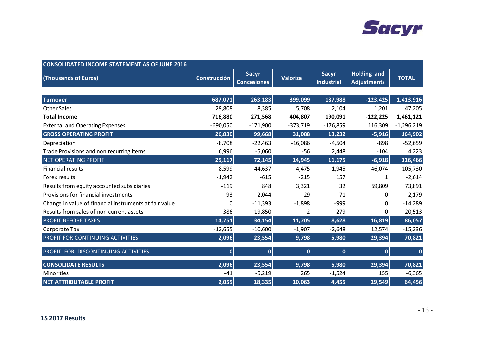

| <b>CONSOLIDATED INCOME STATEMENT AS OF JUNE 2016</b>   |                     |                                    |            |                                   |                                          |              |  |
|--------------------------------------------------------|---------------------|------------------------------------|------------|-----------------------------------|------------------------------------------|--------------|--|
| (Thousands of Euros)                                   | <b>Construcción</b> | <b>Sacyr</b><br><b>Concesiones</b> | Valoriza   | <b>Sacyr</b><br><b>Industrial</b> | <b>Holding and</b><br><b>Adjustments</b> | <b>TOTAL</b> |  |
|                                                        |                     |                                    |            |                                   |                                          |              |  |
| <b>Turnover</b>                                        | 687,071             | 263,183                            | 399,099    | 187,988                           | $-123,425$                               | 1,413,916    |  |
| <b>Other Sales</b>                                     | 29,808              | 8,385                              | 5,708      | 2,104                             | 1,201                                    | 47,205       |  |
| <b>Total Income</b>                                    | 716,880             | 271,568                            | 404,807    | 190,091                           | $-122,225$                               | 1,461,121    |  |
| <b>External and Operating Expenses</b>                 | $-690,050$          | $-171,900$                         | $-373,719$ | $-176,859$                        | 116,309                                  | $-1,296,219$ |  |
| <b>GROSS OPERATING PROFIT</b>                          | 26,830              | 99,668                             | 31,088     | 13,232                            | $-5,916$                                 | 164,902      |  |
| Depreciation                                           | $-8,708$            | $-22,463$                          | $-16,086$  | $-4,504$                          | $-898$                                   | $-52,659$    |  |
| Trade Provisions and non recurring items               | 6,996               | $-5,060$                           | $-56$      | 2,448                             | $-104$                                   | 4,223        |  |
| <b>NET OPERATING PROFIT</b>                            | 25,117              | 72,145                             | 14,945     | 11,175                            | $-6,918$                                 | 116,466      |  |
| <b>Financial results</b>                               | $-8,599$            | $-44,637$                          | $-4,475$   | $-1,945$                          | $-46,074$                                | $-105,730$   |  |
| Forex results                                          | $-1,942$            | $-615$                             | $-215$     | 157                               | 1                                        | $-2,614$     |  |
| Results from equity accounted subsidiaries             | $-119$              | 848                                | 3,321      | 32                                | 69,809                                   | 73,891       |  |
| Provisions for financial investments                   | $-93$               | $-2,044$                           | 29         | $-71$                             | $\Omega$                                 | $-2,179$     |  |
| Change in value of financial instruments at fair value | 0                   | $-11,393$                          | $-1,898$   | $-999$                            | $\Omega$                                 | $-14,289$    |  |
| Results from sales of non current assets               | 386                 | 19,850                             | $-2$       | 279                               | 0                                        | 20,513       |  |
| <b>PROFIT BEFORE TAXES</b>                             | 14,751              | 34,154                             | 11,705     | 8,628                             | 16,819                                   | 86,057       |  |
| Corporate Tax                                          | $-12,655$           | $-10,600$                          | $-1,907$   | $-2,648$                          | 12,574                                   | $-15,236$    |  |
| PROFIT FOR CONTINUING ACTIVITIES                       | 2,096               | 23,554                             | 9,798      | 5,980                             | 29,394                                   | 70,821       |  |
| PROFIT FOR DISCONTINUING ACTIVITIES                    | $\overline{0}$      | 0                                  | 0          | 0                                 | 0                                        | $\mathbf 0$  |  |
| <b>CONSOLIDATE RESULTS</b>                             | 2,096               | 23,554                             | 9,798      | 5,980                             | 29,394                                   | 70,821       |  |
| <b>Minorities</b>                                      | $-41$               | $-5,219$                           | 265        | $-1,524$                          | 155                                      | $-6,365$     |  |
| <b>NET ATTRIBUTABLE PROFIT</b>                         | 2,055               | 18,335                             | 10,063     | 4,455                             | 29,549                                   | 64,456       |  |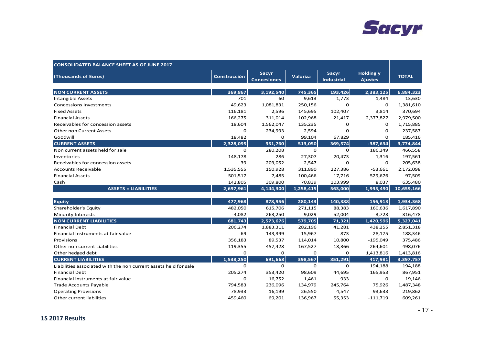

| <b>CONSOLIDATED BALANCE SHEET AS OF JUNE 2017</b>                |              |                                    |             |                            |                                    |              |
|------------------------------------------------------------------|--------------|------------------------------------|-------------|----------------------------|------------------------------------|--------------|
| (Thousands of Euros)                                             | Construcción | <b>Sacyr</b><br><b>Concesiones</b> | Valoriza    | Sacyr<br><b>Industrial</b> | <b>Holding y</b><br><b>Ajustes</b> | <b>TOTAL</b> |
| <b>NON CURRENT ASSETS</b>                                        | 369,867      | 3,192,540                          | 745,365     | 193,426                    | 2,383,125                          | 6,884,323    |
| <b>Intangible Assets</b>                                         | 701          | 60                                 | 9,613       | 1,773                      | 1,484                              | 13,630       |
| <b>Concessions Investments</b>                                   | 49,623       | 1,081,831                          | 250,156     | $\mathbf 0$                | $\Omega$                           | 1,381,610    |
| <b>Fixed Assets</b>                                              | 116,181      | 2,596                              | 145,695     | 102,407                    | 3,814                              | 370,694      |
| <b>Financial Assets</b>                                          | 166,275      | 311,014                            | 102,968     | 21,417                     | 2,377,827                          | 2,979,500    |
| Receivables for concession assets                                | 18,604       | 1,562,047                          | 135,235     | 0                          | 0                                  | 1,715,885    |
| Other non Current Assets                                         | 0            | 234,993                            | 2,594       | 0                          | $\mathbf 0$                        | 237,587      |
| Goodwill                                                         | 18,482       | 0                                  | 99,104      | 67,829                     | $\Omega$                           | 185,416      |
| <b>CURRENT ASSETS</b>                                            | 2,328,095    | 951,760                            | 513,050     | 369,574                    | $-387,634$                         | 3,774,844    |
| Non current assets held for sale                                 | 0            | 280,208                            | 0           | $\mathbf 0$                | 186,349                            | 466,558      |
| Inventories                                                      | 148,178      | 286                                | 27,307      | 20,473                     | 1,316                              | 197,561      |
| Receivables for concession assets                                | 39           | 203,052                            | 2,547       | $\mathbf 0$                | 0                                  | 205,638      |
| <b>Accounts Receivable</b>                                       | 1,535,555    | 150,928                            | 311,890     | 227,386                    | $-53,661$                          | 2,172,098    |
| <b>Financial Assets</b>                                          | 501,517      | 7,485                              | 100,466     | 17,716                     | $-529,676$                         | 97,509       |
| Cash                                                             | 142,805      | 309,800                            | 70,839      | 103,999                    | 8,037                              | 635,480      |
| <b>ASSETS = LIABILITIES</b>                                      | 2,697,961    | 4,144,300                          | 1,258,415   | 563,000                    | 1,995,490                          | 10,659,166   |
| <b>Equity</b>                                                    | 477,968      | 878,956                            | 280,143     | 140,388                    | 156,913                            | 1,934,368    |
| Shareholder's Equity                                             | 482,050      | 615,706                            | 271,115     | 88,383                     | 160,636                            | 1,617,890    |
| <b>Minority Interests</b>                                        | $-4,082$     | 263,250                            | 9,029       | 52,004                     | $-3,723$                           | 316,478      |
| <b>NON CURRENT LIABILITIES</b>                                   | 681,743      | 2,573,676                          | 579,705     | 71,321                     | 1,420,596                          | 5,327,041    |
| <b>Financial Debt</b>                                            | 206,274      | 1,883,311                          | 282,196     | 41,281                     | 438,255                            | 2,851,318    |
| Financial Instruments at fair value                              | -69          | 143,399                            | 15,967      | 873                        | 28,175                             | 188,346      |
| Provisions                                                       | 356,183      | 89,537                             | 114,014     | 10,800                     | $-195,049$                         | 375,486      |
| Other non current Liabilities                                    | 119,355      | 457,428                            | 167,527     | 18,366                     | $-264,601$                         | 498,076      |
| Other hedged debt                                                | $\mathbf 0$  | $\mathbf 0$                        | $\mathbf 0$ | $\mathbf 0$                | 1,413,816                          | 1,413,816    |
| <b>CURRENT LIABILITIES</b>                                       | 1,538,250    | 691,668                            | 398,567     | 351,291                    | 417,981                            | 3,397,757    |
| Liabilities associated with the non current assets held for sale | 0            | 0                                  | 0           | $\mathbf 0$                | 194,188                            | 194,188      |
| <b>Financial Debt</b>                                            | 205,274      | 353,420                            | 98,609      | 44,695                     | 165,953                            | 867,951      |
| Financial instruments at fair value                              | $\mathbf 0$  | 16,752                             | 1,461       | 933                        | $\mathbf 0$                        | 19,146       |
| <b>Trade Accounts Payable</b>                                    | 794,583      | 236,096                            | 134,979     | 245,764                    | 75,926                             | 1,487,348    |
| <b>Operating Provisions</b>                                      | 78,933       | 16,199                             | 26,550      | 4,547                      | 93,633                             | 219,862      |
| Other current liabilities                                        | 459,460      | 69,201                             | 136,967     | 55,353                     | $-111,719$                         | 609,261      |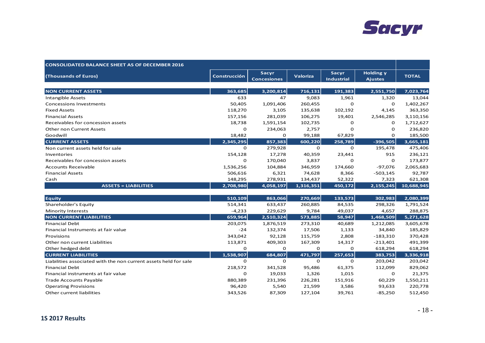

| <b>CONSOLIDATED BALANCE SHEET AS OF DECEMBER 2016</b>            |              |                             |                 |                                   |                                    |              |
|------------------------------------------------------------------|--------------|-----------------------------|-----------------|-----------------------------------|------------------------------------|--------------|
| (Thousands of Euros)                                             | Construcción | Sacyr<br><b>Concesiones</b> | <b>Valoriza</b> | <b>Sacyr</b><br><b>Industrial</b> | <b>Holding y</b><br><b>Ajustes</b> | <b>TOTAL</b> |
| <b>NON CURRENT ASSETS</b>                                        | 363,685      | 3,200,814                   | 716,131         | 191,383                           | 2,551,750                          | 7,023,764    |
| <b>Intangible Assets</b>                                         | 633          | 47                          | 9,083           | 1,961                             | 1,320                              | 13,044       |
| <b>Concessions Investments</b>                                   | 50,405       | 1,091,406                   | 260,455         | $\Omega$                          | $\mathbf 0$                        | 1,402,267    |
| <b>Fixed Assets</b>                                              | 118,270      | 3,105                       | 135,638         | 102,192                           | 4,145                              | 363,350      |
| <b>Financial Assets</b>                                          | 157,156      | 281,039                     | 106,275         | 19,401                            | 2,546,285                          | 3,110,156    |
| Receivables for concession assets                                | 18,738       | 1,591,154                   | 102,735         | 0                                 | $\Omega$                           | 1,712,627    |
| <b>Other non Current Assets</b>                                  | O            | 234,063                     | 2,757           | O                                 | $\mathbf 0$                        | 236,820      |
| Goodwill                                                         | 18,482       | 0                           | 99,188          | 67,829                            | $\mathbf 0$                        | 185,500      |
| <b>CURRENT ASSETS</b>                                            | 2,345,295    | 857,383                     | 600,220         | 258,789                           | $-396,505$                         | 3,665,181    |
| Non current assets held for sale                                 | $\mathbf 0$  | 279,928                     | $\mathbf 0$     | $\Omega$                          | 195,478                            | 475,406      |
| Inventories                                                      | 154,128      | 17,278                      | 40,359          | 23,441                            | 915                                | 236,121      |
| Receivables for concession assets                                | $\Omega$     | 170,040                     | 3,837           | $\Omega$                          | $\mathbf 0$                        | 173,877      |
| <b>Accounts Receivable</b>                                       | 1,536,256    | 104,884                     | 346,959         | 174,660                           | $-97,076$                          | 2,065,683    |
| <b>Financial Assets</b>                                          | 506,616      | 6,321                       | 74,628          | 8,366                             | $-503,145$                         | 92,787       |
| Cash                                                             | 148,295      | 278,931                     | 134,437         | 52,322                            | 7,323                              | 621,308      |
| <b>ASSETS = LIABILITIES</b>                                      | 2,708,980    | 4,058,197                   | 1,316,351       | 450,172                           | 2,155,245                          | 10,688,945   |
| <b>Equity</b>                                                    | 510,109      | 863,066                     | 270,669         | 133,573                           | 302,983                            | 2,080,399    |
| Shareholder's Equity                                             | 514,341      | 633,437                     | 260,885         | 84,535                            | 298,326                            | 1,791,524    |
| <b>Minority Interests</b>                                        | $-4,233$     | 229,629                     | 9,784           | 49,037                            | 4,657                              | 288,875      |
| <b>NON CURRENT LIABILITIES</b>                                   | 659,964      | 2,510,324                   | 573,885         | 58,947                            | 1,468,509                          | 5,271,628    |
| <b>Financial Debt</b>                                            | 203,075      | 1,876,519                   | 273,310         | 40,689                            | 1,212,085                          | 3,605,678    |
| Financial Instruments at fair value                              | $-24$        | 132,374                     | 17,506          | 1,133                             | 34,840                             | 185,829      |
| Provisions                                                       | 343,042      | 92,128                      | 115,759         | 2,808                             | $-183,310$                         | 370,428      |
| Other non current Liabilities                                    | 113,871      | 409,303                     | 167,309         | 14,317                            | $-213,401$                         | 491,399      |
| Other hedged debt                                                | $\mathbf 0$  | 0                           | $\mathbf{O}$    | $\mathbf 0$                       | 618,294                            | 618,294      |
| <b>CURRENT LIABILITIES</b>                                       | 1,538,907    | 684,807                     | 471,797         | 257,653                           | 383,753                            | 3,336,918    |
| Liabilities associated with the non current assets held for sale | $\Omega$     | 0                           | $\mathbf 0$     | $\mathbf 0$                       | 203,042                            | 203,042      |
| <b>Financial Debt</b>                                            | 218,572      | 341,528                     | 95,486          | 61,375                            | 112,099                            | 829,062      |
| Financial instruments at fair value                              | $\mathbf 0$  | 19,033                      | 1,326           | 1,015                             | 0                                  | 21,375       |
| <b>Trade Accounts Payable</b>                                    | 880,389      | 231,396                     | 226,281         | 151,916                           | 60,229                             | 1,550,211    |
| <b>Operating Provisions</b>                                      | 96,420       | 5,540                       | 21,599          | 3,586                             | 93,633                             | 220,778      |
| Other current liabilities                                        | 343,526      | 87,309                      | 127,104         | 39,761                            | $-85,250$                          | 512,450      |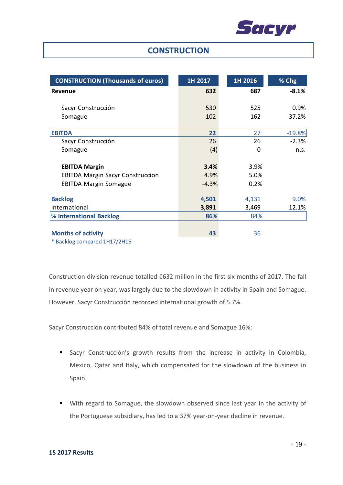

### **CONSTRUCTION**

| <b>CONSTRUCTION (Thousands of euros)</b> | 1H 2017 | 1H 2016 | % Chg    |
|------------------------------------------|---------|---------|----------|
| <b>Revenue</b>                           | 632     | 687     | $-8.1%$  |
|                                          |         |         |          |
| Sacyr Construcción                       | 530     | 525     | 0.9%     |
| Somague                                  | 102     | 162     | $-37.2%$ |
|                                          |         |         |          |
| <b>EBITDA</b>                            | 22      | 27      | $-19.8%$ |
| Sacyr Construcción                       | 26      | 26      | $-2.3%$  |
| Somague                                  | (4)     | 0       | n.s.     |
|                                          |         |         |          |
| <b>EBITDA Margin</b>                     | 3.4%    | 3.9%    |          |
| <b>EBITDA Margin Sacyr Construccion</b>  | 4.9%    | 5.0%    |          |
| <b>EBITDA Margin Somague</b>             | $-4.3%$ | 0.2%    |          |
|                                          |         |         |          |
| <b>Backlog</b>                           | 4,501   | 4,131   | 9.0%     |
| International                            | 3,891   | 3,469   | 12.1%    |
| % International Backlog                  | 86%     | 84%     |          |
|                                          |         |         |          |
| <b>Months of activity</b>                | 43      | 36      |          |
| * Backlog compared 1H17/2H16             |         |         |          |

Construction division revenue totalled €632 million in the first six months of 2017. The fall in revenue year on year, was largely due to the slowdown in activity in Spain and Somague. However, Sacyr Construcción recorded international growth of 5.7%.

Sacyr Construcción contributed 84% of total revenue and Somague 16%:

- Sacyr Construcción's growth results from the increase in activity in Colombia, Mexico, Qatar and Italy, which compensated for the slowdown of the business in Spain.
- With regard to Somague, the slowdown observed since last year in the activity of the Portuguese subsidiary, has led to a 37% year‐on‐year decline in revenue.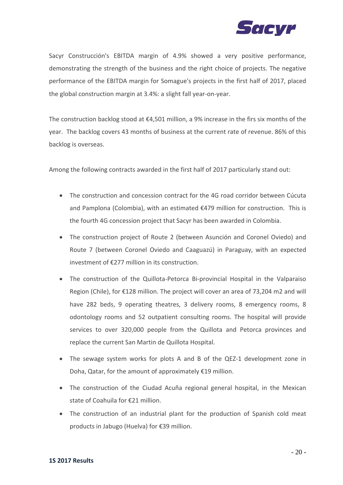

Sacyr Construcción's EBITDA margin of 4.9% showed a very positive performance, demonstrating the strength of the business and the right choice of projects. The negative performance of the EBITDA margin for Somague's projects in the first half of 2017, placed the global construction margin at 3.4%: a slight fall year‐on‐year.

The construction backlog stood at €4,501 million, a 9% increase in the firs six months of the year. The backlog covers 43 months of business at the current rate of revenue. 86% of this backlog is overseas.

Among the following contracts awarded in the first half of 2017 particularly stand out:

- The construction and concession contract for the 4G road corridor between Cúcuta and Pamplona (Colombia), with an estimated €479 million for construction. This is the fourth 4G concession project that Sacyr has been awarded in Colombia.
- The construction project of Route 2 (between Asunción and Coronel Oviedo) and Route 7 (between Coronel Oviedo and Caaguazú) in Paraguay, with an expected investment of €277 million in its construction.
- The construction of the Quillota-Petorca Bi-provincial Hospital in the Valparaiso Region (Chile), for €128 million. The project will cover an area of 73,204 m2 and will have 282 beds, 9 operating theatres, 3 delivery rooms, 8 emergency rooms, 8 odontology rooms and 52 outpatient consulting rooms. The hospital will provide services to over 320,000 people from the Quillota and Petorca provinces and replace the current San Martin de Quillota Hospital.
- The sewage system works for plots A and B of the QEZ-1 development zone in Doha, Qatar, for the amount of approximately €19 million.
- The construction of the Ciudad Acuña regional general hospital, in the Mexican state of Coahuila for €21 million.
- The construction of an industrial plant for the production of Spanish cold meat products in Jabugo (Huelva) for €39 million.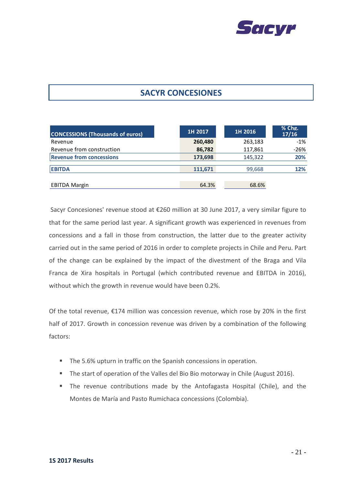

# **SACYR CONCESIONES**

| <b>CONCESSIONS (Thousands of euros)</b> | 1H 2017 | 1H 2016 | % Chg.<br>17/16 |
|-----------------------------------------|---------|---------|-----------------|
| Revenue                                 | 260,480 | 263,183 | $-1%$           |
| Revenue from construction               | 86,782  | 117,861 | $-26%$          |
| <b>Revenue from concessions</b>         | 173,698 | 145,322 | 20%             |
| <b>EBITDA</b>                           | 111.671 | 99,668  | 12%             |
| <b>EBITDA Margin</b>                    | 64.3%   | 68.6%   |                 |

Sacyr Concesiones' revenue stood at €260 million at 30 June 2017, a very similar figure to that for the same period last year. A significant growth was experienced in revenues from concessions and a fall in those from construction, the latter due to the greater activity carried out in the same period of 2016 in order to complete projects in Chile and Peru. Part of the change can be explained by the impact of the divestment of the Braga and Vila Franca de Xira hospitals in Portugal (which contributed revenue and EBITDA in 2016), without which the growth in revenue would have been 0.2%.

Of the total revenue,  $E174$  million was concession revenue, which rose by 20% in the first half of 2017. Growth in concession revenue was driven by a combination of the following factors:

- **The 5.6% upturn in traffic on the Spanish concessions in operation.**
- The start of operation of the Valles del Bio Bio motorway in Chile (August 2016).
- The revenue contributions made by the Antofagasta Hospital (Chile), and the Montes de María and Pasto Rumichaca concessions (Colombia).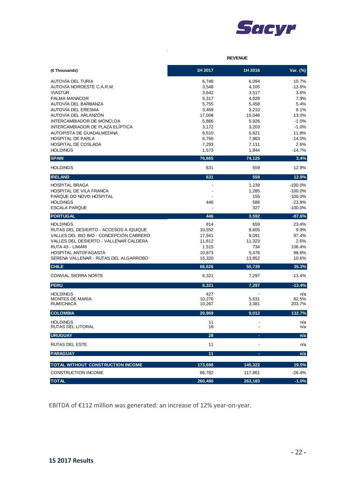

|                                                    | <b>REVENUE</b>   |                 |                       |
|----------------------------------------------------|------------------|-----------------|-----------------------|
| (€Thousands)                                       | 1H 2017          | 1H 2016         | Var. (%)              |
| AUTOVÍA DEL TURIA                                  | 6,748            | 6,094           | 10.7%                 |
| AUTOVÍA NOROESTE C.A.R.M.                          | 3,548            | 4,105           | $-13.6%$              |
| <b>VIASTUR</b>                                     | 3,642            | 3,517           | 3.6%                  |
| PALMA MANACOR                                      | 5,317            | 4,928           | 7.9%                  |
| AUTOVÍA DEL BARBANZA<br>AUTOVÍA DEL ERESMA         | 5,755<br>3,469   | 5,458<br>3,210  | 5.4%<br>8.1%          |
| AUTOVÍA DEL ARLANZÓN                               | 17,008           | 15,046          | 13.0%                 |
| INTERCAMBIADOR DE MONCLOA                          | 5,866            | 5,926           | $-1.0%$               |
| INTERCAMBIADOR DE PLAZA ELÍPTICA                   | 3,172            | 3,203           | $-1.0%$               |
| AUTOPISTA DE GUADALMEDINA                          | 6,510            | 5,821           | 11.8%                 |
| <b>HOSPITAL DE PARLA</b>                           | 6,766            | 7,863           | $-14.0%$              |
| <b>HOSPITAL DE COSLADA</b>                         | 7,293            | 7,111           | 2.6%                  |
| <b>HOLDINGS</b>                                    | 1,573            | 1,844           | $-14.7%$              |
| <b>SPAIN</b>                                       | 76,665           | 74,125          | 3.4%                  |
| <b>HOLDINGS</b>                                    | 631              | 559             | 12.9%                 |
| <b>IRELAND</b>                                     | 631              | 559             | 12.9%                 |
| <b>HOSPITAL BRAGA</b>                              |                  | 1,239           | $-100.0%$             |
| HOSPITAL DE VILA FRANCA<br>PARQUE DO NOVO HOSPITAL |                  | 1,285           | $-100.0%$             |
| <b>HOLDINGS</b>                                    | 446              | 155<br>586      | $-100.0%$<br>$-23.9%$ |
| <b>ESCALA PARQUE</b>                               |                  | 327             | $-100.0%$             |
| <b>PORTUGAL</b>                                    | 446              | 3,592           | $-87.6%$              |
| <b>HOLDINGS</b>                                    | 814              | 659             | 23.4%                 |
| RUTAS DEL DESIERTO - ACCESOS A IQUIQUE             | 10,552           | 9,605           | 9.9%                  |
| VALLES DEL BIO BIO - CONCEPCIÓN CABRERO            | 17,941           | 9,091           | 97.4%                 |
| VALLES DEL DESIERTO - VALLENAR CALDERA             | 11,612           | 11,323          | 2.6%                  |
| RUTA 43 - LIMARI<br><b>HOSPITAL ANTOFAGASTA</b>    | 1,515            | 734             | 106.4%<br>98.6%       |
| SERENA VALLENAR - RUTAS DEL ALGARROBO              | 10,873<br>15,320 | 5,476<br>13,852 | 10.6%                 |
| <b>CHILE</b>                                       | 68,626           | 50,739          | 35.3%                 |
| <b>CONVIAL SIERRA NORTE</b>                        | 6,321            | 7,297           | $-13.4%$              |
| <b>PERU</b>                                        | 6,321            | 7,297           | $-13.4%$              |
|                                                    |                  |                 |                       |
| <b>HOLDINGS</b><br><b>MONTES DE MARÍA</b>          | 427<br>10,276    | 5,631           | n/a<br>82.5%          |
| <b>RUMICHACA</b>                                   | 10,267           | 3,381           | 203.7%                |
| <b>COLOMBIA</b>                                    | 20,969           | 9,012           | 132.7%                |
| <b>HOLDINGS</b><br>RUTAS DEL LITORAL               | 11<br>18         |                 | n/a<br>n/a            |
| <b>URUGUAY</b>                                     | 28               |                 | n/a                   |
| RUTAS DEL ESTE                                     | 11               |                 | n/a                   |
| <b>PARAGUAY</b>                                    | 11               | ٠               | n/a                   |
| TOTAL WITHOUT CONSTRUCTION INCOME                  | 173,698          | 145,322         | 19.5%                 |
| CONSTRUCTION INCOME                                | 86,782           | 117,861         | $-26.4%$              |
| <b>TOTAL</b>                                       | 260,480          | 263,183         | $-1.0%$               |

 $\hat{\mathbf{r}}$ 

EBITDA of €112 million was generated: an increase of 12% year‐on‐year.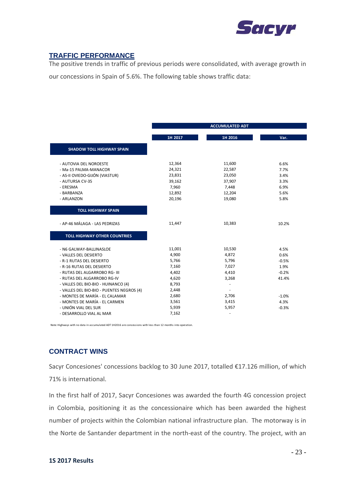

### **TRAFFIC PERFORMANCE**

The positive trends in traffic of previous periods were consolidated, with average growth in

our concessions in Spain of 5.6%. The following table shows traffic data:

|                                           |         | <b>ACCUMULATED ADT</b>   |         |
|-------------------------------------------|---------|--------------------------|---------|
|                                           | 1H 2017 | 1H 2016                  | Var.    |
| <b>SHADOW TOLL HIGHWAY SPAIN</b>          |         |                          |         |
| - AUTOVIA DEL NOROESTE                    | 12,364  | 11,600                   | 6.6%    |
| - Ma-15 PALMA-MANACOR                     | 24,321  | 22,587                   | 7.7%    |
| - AS-II OVIEDO-GIJÓN (VIASTUR)            | 23,831  | 23,050                   | 3.4%    |
| - AUTURSA CV-35                           | 39,162  | 37,907                   | 3.3%    |
| - ERESMA                                  | 7,960   | 7,448                    | 6.9%    |
| - BARBANZA                                | 12,892  | 12,204                   | 5.6%    |
| - ARLANZON                                | 20,196  | 19,080                   | 5.8%    |
| <b>TOLL HIGHWAY SPAIN</b>                 |         |                          |         |
|                                           |         |                          |         |
| - AP-46 MÁLAGA - LAS PEDRIZAS             | 11,447  | 10,383                   | 10.2%   |
| <b>TOLL HIGHWAY OTHER COUNTRIES</b>       |         |                          |         |
| - N6 GALWAY-BALLINASLOE                   | 11,001  | 10,530                   | 4.5%    |
| - VALLES DEL DESIERTO                     | 4,900   | 4,872                    | 0.6%    |
| - R-1 RUTAS DEL DESIERTO                  | 5,766   | 5,796                    | $-0.5%$ |
| - R-16 RUTAS DEL DESIERTO                 | 7,160   | 7,027                    | 1.9%    |
| - RUTAS DEL ALGARROBO RG- III             | 4,402   | 4,410                    | $-0.2%$ |
| - RUTAS DEL ALGARROBO RG-IV               | 4,620   | 3,268                    | 41.4%   |
| - VALLES DEL BIO-BIO - HUINANCO (4)       | 8,793   |                          |         |
| - VALLES DEL BIO-BIO - PUENTES NEGROS (4) | 2,448   |                          |         |
| - MONTES DE MARÍA - EL CALAMAR            | 2,680   | 2,706                    | $-1.0%$ |
| - MONTES DE MARÍA - EL CARMEN             | 3,561   | 3,415                    | 4.3%    |
| - UNIÓN VIAL DEL SUR                      | 5,939   | 5,957                    | $-0.3%$ |
| - DESARROLLO VIAL AL MAR                  | 7,162   | $\overline{\phantom{a}}$ |         |

Note: Highways with no data in accumulated ADT 1H2016 are concessions with less than 12 months into operation.

### **CONTRACT WINS**

Sacyr Concesiones' concessions backlog to 30 June 2017, totalled €17.126 million, of which 71% is international.

In the first half of 2017, Sacyr Concesiones was awarded the fourth 4G concession project in Colombia, positioning it as the concessionaire which has been awarded the highest number of projects within the Colombian national infrastructure plan. The motorway is in the Norte de Santander department in the north‐east of the country. The project, with an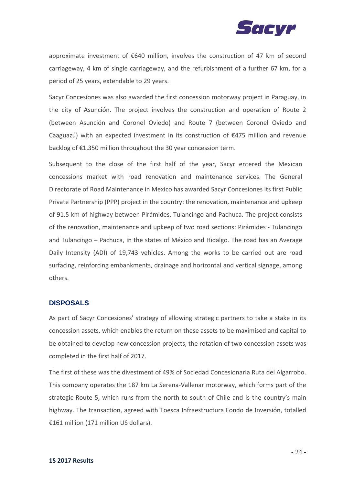

approximate investment of €640 million, involves the construction of 47 km of second carriageway, 4 km of single carriageway, and the refurbishment of a further 67 km, for a period of 25 years, extendable to 29 years.

Sacyr Concesiones was also awarded the first concession motorway project in Paraguay, in the city of Asunción. The project involves the construction and operation of Route 2 (between Asunción and Coronel Oviedo) and Route 7 (between Coronel Oviedo and Caaguazú) with an expected investment in its construction of €475 million and revenue backlog of €1,350 million throughout the 30 year concession term.

Subsequent to the close of the first half of the year, Sacyr entered the Mexican concessions market with road renovation and maintenance services. The General Directorate of Road Maintenance in Mexico has awarded Sacyr Concesiones its first Public Private Partnership (PPP) project in the country: the renovation, maintenance and upkeep of 91.5 km of highway between Pirámides, Tulancingo and Pachuca. The project consists of the renovation, maintenance and upkeep of two road sections: Pirámides ‐ Tulancingo and Tulancingo – Pachuca, in the states of México and Hidalgo. The road has an Average Daily Intensity (ADI) of 19,743 vehicles. Among the works to be carried out are road surfacing, reinforcing embankments, drainage and horizontal and vertical signage, among others.

#### **DISPOSALS**

As part of Sacyr Concesiones' strategy of allowing strategic partners to take a stake in its concession assets, which enables the return on these assets to be maximised and capital to be obtained to develop new concession projects, the rotation of two concession assets was completed in the first half of 2017.

The first of these was the divestment of 49% of Sociedad Concesionaria Ruta del Algarrobo. This company operates the 187 km La Serena‐Vallenar motorway, which forms part of the strategic Route 5, which runs from the north to south of Chile and is the country's main highway. The transaction, agreed with Toesca Infraestructura Fondo de Inversión, totalled €161 million (171 million US dollars).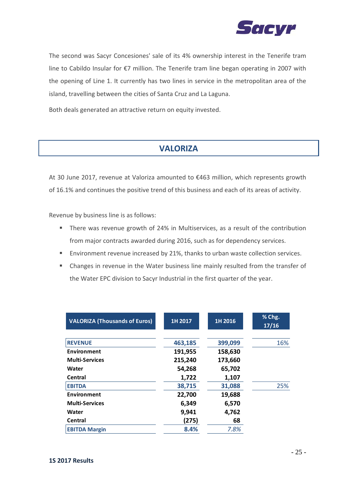

The second was Sacyr Concesiones' sale of its 4% ownership interest in the Tenerife tram line to Cabildo Insular for €7 million. The Tenerife tram line began operating in 2007 with the opening of Line 1. It currently has two lines in service in the metropolitan area of the island, travelling between the cities of Santa Cruz and La Laguna.

Both deals generated an attractive return on equity invested.

# **VALORIZA**

At 30 June 2017, revenue at Valoriza amounted to €463 million, which represents growth of 16.1% and continues the positive trend of this business and each of its areas of activity.

Revenue by business line is as follows:

- There was revenue growth of 24% in Multiservices, as a result of the contribution from major contracts awarded during 2016, such as for dependency services.
- **Environment revenue increased by 21%, thanks to urban waste collection services.**
- Changes in revenue in the Water business line mainly resulted from the transfer of the Water EPC division to Sacyr Industrial in the first quarter of the year.

| <b>VALORIZA (Thousands of Euros)</b> | 1H 2017 | 1H 2016 | % Chg.<br>17/16 |
|--------------------------------------|---------|---------|-----------------|
|                                      |         |         |                 |
| <b>REVENUE</b>                       | 463,185 | 399,099 | 16%             |
| Environment                          | 191,955 | 158,630 |                 |
| <b>Multi-Services</b>                | 215,240 | 173,660 |                 |
| Water                                | 54,268  | 65,702  |                 |
| Central                              | 1,722   | 1,107   |                 |
| <b>EBITDA</b>                        | 38,715  | 31,088  | 25%             |
| Environment                          | 22,700  | 19,688  |                 |
| <b>Multi-Services</b>                | 6,349   | 6,570   |                 |
| Water                                | 9,941   | 4,762   |                 |
| Central                              | (275)   | 68      |                 |
| <b>EBITDA Margin</b>                 | 8.4%    | 7.8%    |                 |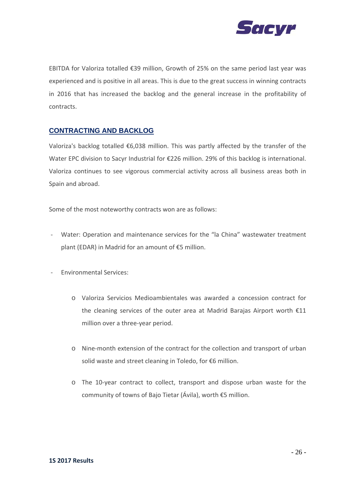

EBITDA for Valoriza totalled €39 million, Growth of 25% on the same period last year was experienced and is positive in all areas. This is due to the great success in winning contracts in 2016 that has increased the backlog and the general increase in the profitability of contracts.

### **CONTRACTING AND BACKLOG**

Valoriza's backlog totalled €6,038 million. This was partly affected by the transfer of the Water EPC division to Sacyr Industrial for €226 million. 29% of this backlog is international. Valoriza continues to see vigorous commercial activity across all business areas both in Spain and abroad.

Some of the most noteworthy contracts won are as follows:

- ‐ Water: Operation and maintenance services for the "la China" wastewater treatment plant (EDAR) in Madrid for an amount of €5 million.
- ‐ Environmental Services:
	- o Valoriza Servicios Medioambientales was awarded a concession contract for the cleaning services of the outer area at Madrid Barajas Airport worth €11 million over a three‐year period.
	- o Nine‐month extension of the contract for the collection and transport of urban solid waste and street cleaning in Toledo, for €6 million.
	- o The 10‐year contract to collect, transport and dispose urban waste for the community of towns of Bajo Tietar (Ávila), worth €5 million.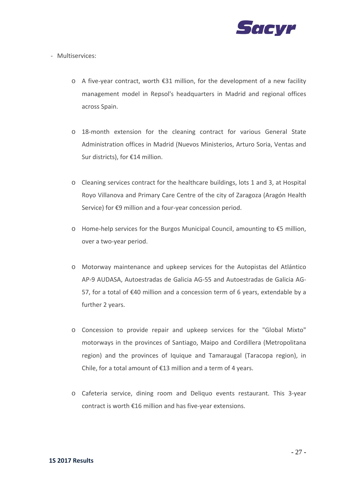

‐ Multiservices:

- o A five‐year contract, worth €31 million, for the development of a new facility management model in Repsol's headquarters in Madrid and regional offices across Spain.
- o 18‐month extension for the cleaning contract for various General State Administration offices in Madrid (Nuevos Ministerios, Arturo Soria, Ventas and Sur districts), for €14 million.
- o Cleaning services contract for the healthcare buildings, lots 1 and 3, at Hospital Royo Villanova and Primary Care Centre of the city of Zaragoza (Aragón Health Service) for €9 million and a four-year concession period.
- o Home‐help services for the Burgos Municipal Council, amounting to €5 million, over a two‐year period.
- o Motorway maintenance and upkeep services for the Autopistas del Atlántico AP‐9 AUDASA, Autoestradas de Galicia AG‐55 and Autoestradas de Galicia AG‐ 57, for a total of €40 million and a concession term of 6 years, extendable by a further 2 years.
- o Concession to provide repair and upkeep services for the "Global Mixto" motorways in the provinces of Santiago, Maipo and Cordillera (Metropolitana region) and the provinces of Iquique and Tamaraugal (Taracopa region), in Chile, for a total amount of €13 million and a term of 4 years.
- o Cafeteria service, dining room and Deliquo events restaurant. This 3‐year contract is worth €16 million and has five‐year extensions.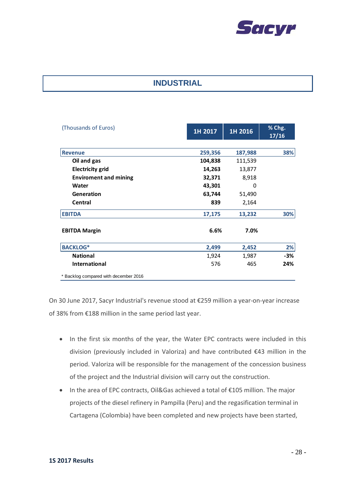

# **INDUSTRIAL**

| (Thousands of Euros)                  | 1H 2017 | 1H 2016 | % Chg.<br>17/16 |
|---------------------------------------|---------|---------|-----------------|
|                                       |         |         |                 |
| <b>Revenue</b>                        | 259,356 | 187,988 | 38%             |
| Oil and gas                           | 104,838 | 111,539 |                 |
| <b>Electricity grid</b>               | 14,263  | 13,877  |                 |
| <b>Enviroment and mining</b>          | 32,371  | 8,918   |                 |
| Water                                 | 43,301  | 0       |                 |
| Generation                            | 63,744  | 51,490  |                 |
| Central                               | 839     | 2,164   |                 |
| <b>EBITDA</b>                         | 17,175  | 13,232  | 30%             |
| <b>EBITDA Margin</b>                  | 6.6%    | 7.0%    |                 |
| <b>BACKLOG*</b>                       | 2,499   | 2,452   | 2%              |
| <b>National</b>                       | 1,924   | 1,987   | -3%             |
| <b>International</b>                  | 576     | 465     | 24%             |
| * Backlog compared with december 2016 |         |         |                 |

On 30 June 2017, Sacyr Industrial's revenue stood at €259 million a year‐on‐year increase of 38% from €188 million in the same period last year.

- In the first six months of the year, the Water EPC contracts were included in this division (previously included in Valoriza) and have contributed €43 million in the period. Valoriza will be responsible for the management of the concession business of the project and the Industrial division will carry out the construction.
- In the area of EPC contracts, Oil&Gas achieved a total of €105 million. The major projects of the diesel refinery in Pampilla (Peru) and the regasification terminal in Cartagena (Colombia) have been completed and new projects have been started,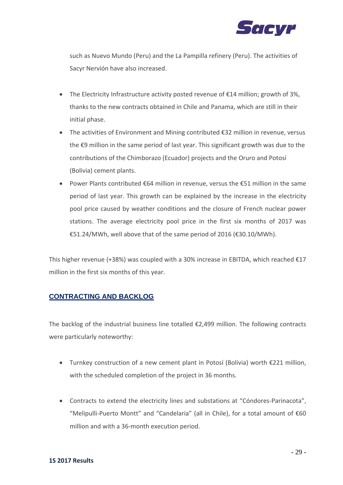

such as Nuevo Mundo (Peru) and the La Pampilla refinery (Peru). The activities of Sacyr Nervión have also increased.

- The Electricity Infrastructure activity posted revenue of €14 million; growth of 3%, thanks to the new contracts obtained in Chile and Panama, which are still in their initial phase.
- The activities of Environment and Mining contributed €32 million in revenue, versus the €9 million in the same period of last year. This significant growth was due to the contributions of the Chimborazo (Ecuador) projects and the Oruro and Potosí (Bolivia) cement plants.
- Power Plants contributed €64 million in revenue, versus the €51 million in the same period of last year. This growth can be explained by the increase in the electricity pool price caused by weather conditions and the closure of French nuclear power stations. The average electricity pool price in the first six months of 2017 was €51.24/MWh, well above that of the same period of 2016 (€30.10/MWh).

This higher revenue (+38%) was coupled with a 30% increase in EBITDA, which reached  $E17$ million in the first six months of this year.

### **CONTRACTING AND BACKLOG**

The backlog of the industrial business line totalled €2,499 million. The following contracts were particularly noteworthy:

- Turnkey construction of a new cement plant in Potosí (Bolivia) worth €221 million, with the scheduled completion of the project in 36 months.
- Contracts to extend the electricity lines and substations at "Cóndores‐Parinacota", "Melipulli‐Puerto Montt" and "Candelaria" (all in Chile), for a total amount of €60 million and with a 36‐month execution period.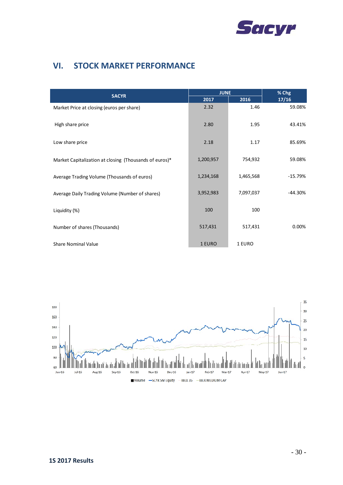

# **VI. STOCK MARKET PERFORMANCE**

| <b>SACYR</b>                                           | <b>JUNE</b> |           | % Chg     |
|--------------------------------------------------------|-------------|-----------|-----------|
|                                                        | 2017        | 2016      | 17/16     |
| Market Price at closing (euros per share)              | 2.32        | 1.46      | 59.08%    |
| High share price                                       | 2.80        | 1.95      | 43.41%    |
| Low share price                                        | 2.18        | 1.17      | 85.69%    |
| Market Capitalization at closing (Thousands of euros)* | 1,200,957   | 754,932   | 59.08%    |
| Average Trading Volume (Thousands of euros)            | 1,234,168   | 1,465,568 | $-15.79%$ |
| Average Daily Trading Volume (Number of shares)        | 3,952,983   | 7,097,037 | $-44.30%$ |
| Liquidity (%)                                          | 100         | 100       |           |
| Number of shares (Thousands)                           | 517,431     | 517,431   | 0.00%     |
| <b>Share Nominal Value</b>                             | 1 EURO      | 1 EURO    |           |

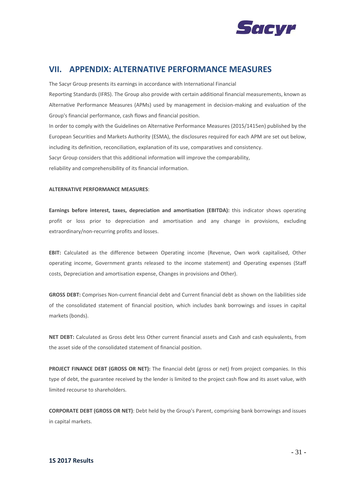

### **VII. APPENDIX: ALTERNATIVE PERFORMANCE MEASURES**

The Sacyr Group presents its earnings in accordance with International Financial Reporting Standards (IFRS). The Group also provide with certain additional financial measurements, known as Alternative Performance Measures (APMs) used by management in decision‐making and evaluation of the Group's financial performance, cash flows and financial position. In order to comply with the Guidelines on Alternative Performance Measures (2015/1415en) published by the

European Securities and Markets Authority (ESMA), the disclosures required for each APM are set out below, including its definition, reconciliation, explanation of its use, comparatives and consistency. Sacyr Group considers that this additional information will improve the comparability, reliability and comprehensibility of its financial information.

#### **ALTERNATIVE PERFORMANCE MEASURES**:

**Earnings before interest, taxes, depreciation and amortisation (EBITDA):** this indicator shows operating profit or loss prior to depreciation and amortisation and any change in provisions, excluding extraordinary/non-recurring profits and losses.

**EBIT:** Calculated as the difference between Operating income (Revenue, Own work capitalised, Other operating income, Government grants released to the income statement) and Operating expenses (Staff costs, Depreciation and amortisation expense, Changes in provisions and Other).

**GROSS DEBT:** Comprises Non‐current financial debt and Current financial debt as shown on the liabilities side of the consolidated statement of financial position, which includes bank borrowings and issues in capital markets (bonds).

**NET DEBT:** Calculated as Gross debt less Other current financial assets and Cash and cash equivalents, from the asset side of the consolidated statement of financial position.

**PROJECT FINANCE DEBT (GROSS OR NET):** The financial debt (gross or net) from project companies. In this type of debt, the guarantee received by the lender is limited to the project cash flow and its asset value, with limited recourse to shareholders.

**CORPORATE DEBT (GROSS OR NET)**: Debt held by the Group's Parent, comprising bank borrowings and issues in capital markets.